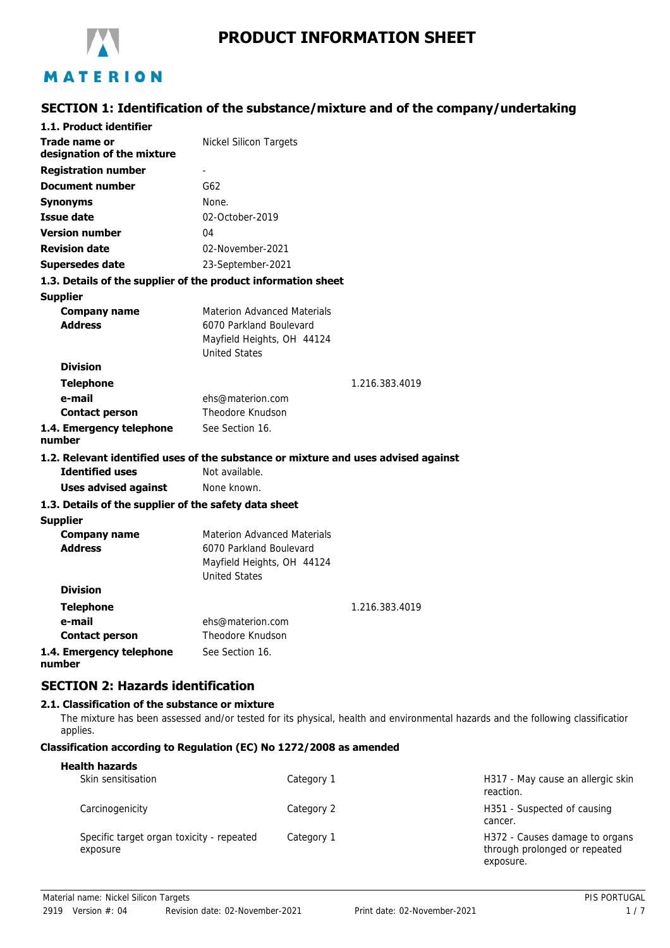

# **SECTION 1: Identification of the substance/mixture and of the company/undertaking**

| 1.1. Product identifier                                                            |                                      |                |
|------------------------------------------------------------------------------------|--------------------------------------|----------------|
| Trade name or<br>designation of the mixture                                        | Nickel Silicon Targets               |                |
| <b>Registration number</b>                                                         | ÷,                                   |                |
| <b>Document number</b>                                                             | G62                                  |                |
| Synonyms                                                                           | None.                                |                |
| <b>Issue date</b>                                                                  | 02-October-2019                      |                |
| <b>Version number</b>                                                              | 04                                   |                |
| <b>Revision date</b>                                                               | 02-November-2021                     |                |
| <b>Supersedes date</b>                                                             | 23-September-2021                    |                |
| 1.3. Details of the supplier of the product information sheet                      |                                      |                |
| <b>Supplier</b>                                                                    |                                      |                |
| <b>Company name</b>                                                                | <b>Materion Advanced Materials</b>   |                |
| <b>Address</b>                                                                     | 6070 Parkland Boulevard              |                |
|                                                                                    | Mayfield Heights, OH 44124           |                |
|                                                                                    | <b>United States</b>                 |                |
| <b>Division</b>                                                                    |                                      |                |
| <b>Telephone</b>                                                                   |                                      | 1.216.383.4019 |
| e-mail                                                                             | ehs@materion.com<br>Theodore Knudson |                |
| <b>Contact person</b>                                                              |                                      |                |
| 1.4. Emergency telephone<br>number                                                 | See Section 16.                      |                |
| 1.2. Relevant identified uses of the substance or mixture and uses advised against |                                      |                |
| <b>Identified uses</b>                                                             | Not available.                       |                |
| <b>Uses advised against</b>                                                        | None known.                          |                |
| 1.3. Details of the supplier of the safety data sheet                              |                                      |                |
| <b>Supplier</b>                                                                    |                                      |                |
| <b>Company name</b>                                                                | <b>Materion Advanced Materials</b>   |                |
| <b>Address</b>                                                                     | 6070 Parkland Boulevard              |                |
|                                                                                    | Mayfield Heights, OH 44124           |                |
| <b>Division</b>                                                                    | <b>United States</b>                 |                |
|                                                                                    |                                      |                |
| <b>Telephone</b><br>e-mail                                                         | ehs@materion.com                     | 1.216.383.4019 |
| <b>Contact person</b>                                                              | Theodore Knudson                     |                |
| 1.4. Emergency telephone                                                           | See Section 16.                      |                |
| number                                                                             |                                      |                |
|                                                                                    |                                      |                |

# **SECTION 2: Hazards identification**

## **2.1. Classification of the substance or mixture**

The mixture has been assessed and/or tested for its physical, health and environmental hazards and the following classification applies.

## **Classification according to Regulation (EC) No 1272/2008 as amended**

| <b>Health hazards</b>                                 |            |                                                                              |
|-------------------------------------------------------|------------|------------------------------------------------------------------------------|
| Skin sensitisation                                    | Category 1 | H317 - May cause an allergic skin<br>reaction.                               |
| Carcinogenicity                                       | Category 2 | H351 - Suspected of causing<br>cancer.                                       |
| Specific target organ toxicity - repeated<br>exposure | Category 1 | H372 - Causes damage to organs<br>through prolonged or repeated<br>exposure. |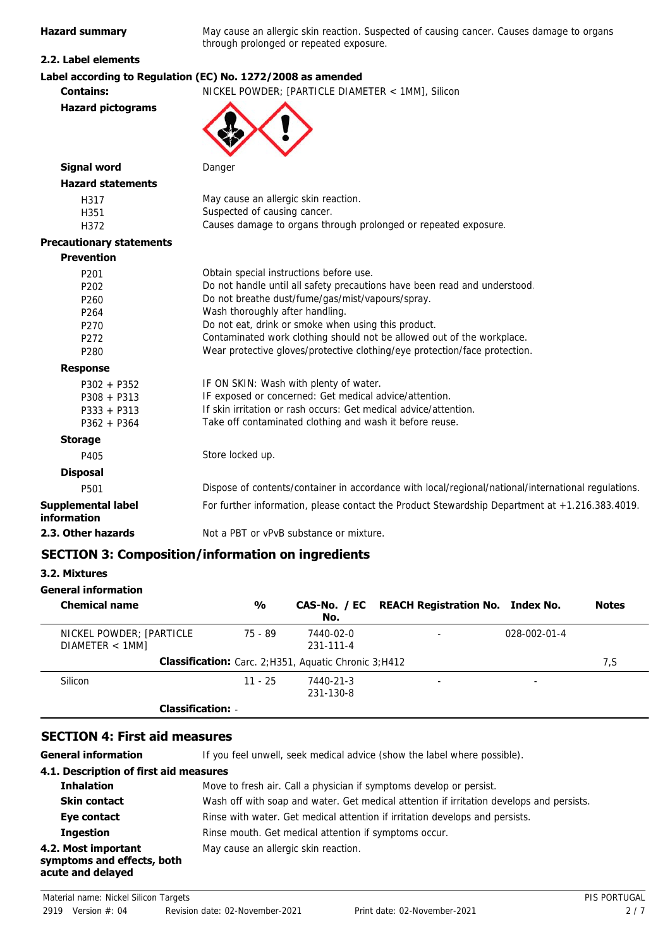**Hazard summary** May cause an allergic skin reaction. Suspected of causing cancer. Causes damage to organs through prolonged or repeated exposure.

## **2.2. Label elements**

**Hazard pictograms**

## **Label according to Regulation (EC) No. 1272/2008 as amended**

**Contains:** NICKEL POWDER; [PARTICLE DIAMETER < 1MM], Silicon



| <b>Signal word</b>                                                                                                                                                                                                  | Danger                                                                                                                                                                                                                                                                                                                                                                                                                                                                                                                                                                                                                                                         |
|---------------------------------------------------------------------------------------------------------------------------------------------------------------------------------------------------------------------|----------------------------------------------------------------------------------------------------------------------------------------------------------------------------------------------------------------------------------------------------------------------------------------------------------------------------------------------------------------------------------------------------------------------------------------------------------------------------------------------------------------------------------------------------------------------------------------------------------------------------------------------------------------|
| <b>Hazard statements</b>                                                                                                                                                                                            |                                                                                                                                                                                                                                                                                                                                                                                                                                                                                                                                                                                                                                                                |
| H317<br>H351<br>H372                                                                                                                                                                                                | May cause an allergic skin reaction.<br>Suspected of causing cancer.<br>Causes damage to organs through prolonged or repeated exposure.                                                                                                                                                                                                                                                                                                                                                                                                                                                                                                                        |
| <b>Precautionary statements</b>                                                                                                                                                                                     |                                                                                                                                                                                                                                                                                                                                                                                                                                                                                                                                                                                                                                                                |
| <b>Prevention</b>                                                                                                                                                                                                   |                                                                                                                                                                                                                                                                                                                                                                                                                                                                                                                                                                                                                                                                |
| P <sub>201</sub><br>P <sub>202</sub><br>P <sub>260</sub><br>P <sub>264</sub><br>P <sub>270</sub><br>P <sub>272</sub><br>P280<br><b>Response</b><br>$P302 + P352$<br>$P308 + P313$<br>$P333 + P313$<br>$P362 + P364$ | Obtain special instructions before use.<br>Do not handle until all safety precautions have been read and understood.<br>Do not breathe dust/fume/gas/mist/vapours/spray.<br>Wash thoroughly after handling.<br>Do not eat, drink or smoke when using this product.<br>Contaminated work clothing should not be allowed out of the workplace.<br>Wear protective gloves/protective clothing/eye protection/face protection.<br>IF ON SKIN: Wash with plenty of water.<br>IF exposed or concerned: Get medical advice/attention.<br>If skin irritation or rash occurs: Get medical advice/attention.<br>Take off contaminated clothing and wash it before reuse. |
| <b>Storage</b>                                                                                                                                                                                                      |                                                                                                                                                                                                                                                                                                                                                                                                                                                                                                                                                                                                                                                                |
| P405                                                                                                                                                                                                                | Store locked up.                                                                                                                                                                                                                                                                                                                                                                                                                                                                                                                                                                                                                                               |
| <b>Disposal</b>                                                                                                                                                                                                     |                                                                                                                                                                                                                                                                                                                                                                                                                                                                                                                                                                                                                                                                |
| P501                                                                                                                                                                                                                | Dispose of contents/container in accordance with local/regional/national/international regulations.                                                                                                                                                                                                                                                                                                                                                                                                                                                                                                                                                            |
| <b>Supplemental label</b><br>information                                                                                                                                                                            | For further information, please contact the Product Stewardship Department at +1.216.383.4019.                                                                                                                                                                                                                                                                                                                                                                                                                                                                                                                                                                 |
| 2.3. Other hazards                                                                                                                                                                                                  | Not a PBT or vPvB substance or mixture.                                                                                                                                                                                                                                                                                                                                                                                                                                                                                                                                                                                                                        |

# **SECTION 3: Composition/information on ingredients**

# **3.2. Mixtures**

| <b>General information</b>                 |               |                                                               |                                               |                      |              |
|--------------------------------------------|---------------|---------------------------------------------------------------|-----------------------------------------------|----------------------|--------------|
| <b>Chemical name</b>                       | $\frac{0}{0}$ | No.                                                           | CAS-No. / EC REACH Registration No. Index No. |                      | <b>Notes</b> |
| NICKEL POWDER; [PARTICLE<br>DIAMETER < 1MM | 75 - 89       | 7440-02-0<br>$231 - 111 - 4$                                  |                                               | $028 - 002 - 01 - 4$ |              |
|                                            |               | <b>Classification:</b> Carc. 2; H351, Aquatic Chronic 3; H412 |                                               |                      | 7,S          |
| Silicon                                    | $11 - 25$     | 7440-21-3<br>231-130-8                                        | ۰                                             | -                    |              |
| <b>Classification:</b>                     |               |                                                               |                                               |                      |              |

## **SECTION 4: First aid measures**

**General information** If you feel unwell, seek medical advice (show the label where possible). **4.1. Description of first aid measures Inhalation** Move to fresh air. Call a physician if symptoms develop or persist. **Skin contact** Wash off with soap and water. Get medical attention if irritation develops and persists. **Eye contact** Rinse with water. Get medical attention if irritation develops and persists. **Ingestion** Rinse mouth. Get medical attention if symptoms occur. **4.2. Most important** May cause an allergic skin reaction. **symptoms and effects, both acute and delayed**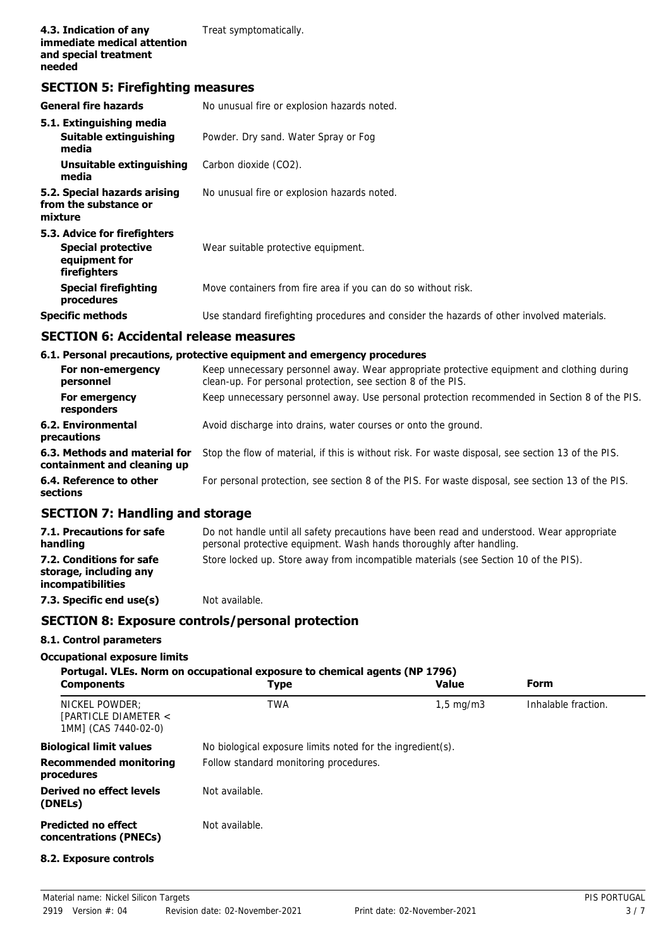# **SECTION 5: Firefighting measures**

| <b>General fire hazards</b>                                                                | No unusual fire or explosion hazards noted.                                                |
|--------------------------------------------------------------------------------------------|--------------------------------------------------------------------------------------------|
| 5.1. Extinguishing media<br>Suitable extinguishing<br>media                                | Powder. Dry sand. Water Spray or Fog                                                       |
| Unsuitable extinguishing<br>media                                                          | Carbon dioxide (CO2).                                                                      |
| 5.2. Special hazards arising<br>from the substance or<br>mixture                           | No unusual fire or explosion hazards noted.                                                |
| 5.3. Advice for firefighters<br><b>Special protective</b><br>equipment for<br>firefighters | Wear suitable protective equipment.                                                        |
| <b>Special firefighting</b><br>procedures                                                  | Move containers from fire area if you can do so without risk.                              |
| <b>Specific methods</b>                                                                    | Use standard firefighting procedures and consider the hazards of other involved materials. |

# **SECTION 6: Accidental release measures**

## **6.1. Personal precautions, protective equipment and emergency procedures**

| For non-emergency<br>personnel                               | Keep unnecessary personnel away. Wear appropriate protective equipment and clothing during<br>clean-up. For personal protection, see section 8 of the PIS. |
|--------------------------------------------------------------|------------------------------------------------------------------------------------------------------------------------------------------------------------|
| For emergency<br>responders                                  | Keep unnecessary personnel away. Use personal protection recommended in Section 8 of the PIS.                                                              |
| 6.2. Environmental<br>precautions                            | Avoid discharge into drains, water courses or onto the ground.                                                                                             |
| 6.3. Methods and material for<br>containment and cleaning up | Stop the flow of material, if this is without risk. For waste disposal, see section 13 of the PIS.                                                         |
| 6.4. Reference to other<br>sections                          | For personal protection, see section 8 of the PIS. For waste disposal, see section 13 of the PIS.                                                          |

# **SECTION 7: Handling and storage**

| 7.1. Precautions for safe<br>handling                                          | Do not handle until all safety precautions have been read and understood. Wear appropriate<br>personal protective equipment. Wash hands thoroughly after handling. |
|--------------------------------------------------------------------------------|--------------------------------------------------------------------------------------------------------------------------------------------------------------------|
| 7.2. Conditions for safe<br>storage, including any<br><i>incompatibilities</i> | Store locked up. Store away from incompatible materials (see Section 10 of the PIS).                                                                               |
| 7.3. Specific end use(s)                                                       | Not available.                                                                                                                                                     |

# **SECTION 8: Exposure controls/personal protection**

## **8.1. Control parameters**

#### **Occupational exposure limits**

| <b>Components</b>                                              | Portugal. VLEs. Norm on occupational exposure to chemical agents (NP 1796)<br>Type | <b>Value</b>       | Form                |
|----------------------------------------------------------------|------------------------------------------------------------------------------------|--------------------|---------------------|
| NICKEL POWDER:<br>[PARTICLE DIAMETER <<br>1MM1 (CAS 7440-02-0) | <b>TWA</b>                                                                         | $1,5 \text{ mg/m}$ | Inhalable fraction. |
| <b>Biological limit values</b>                                 | No biological exposure limits noted for the ingredient(s).                         |                    |                     |
| <b>Recommended monitoring</b><br>procedures                    | Follow standard monitoring procedures.                                             |                    |                     |
| Derived no effect levels<br>(DNELs)                            | Not available.                                                                     |                    |                     |
| <b>Predicted no effect</b><br>concentrations (PNECs)           | Not available.                                                                     |                    |                     |
| 8.2. Exposure controls                                         |                                                                                    |                    |                     |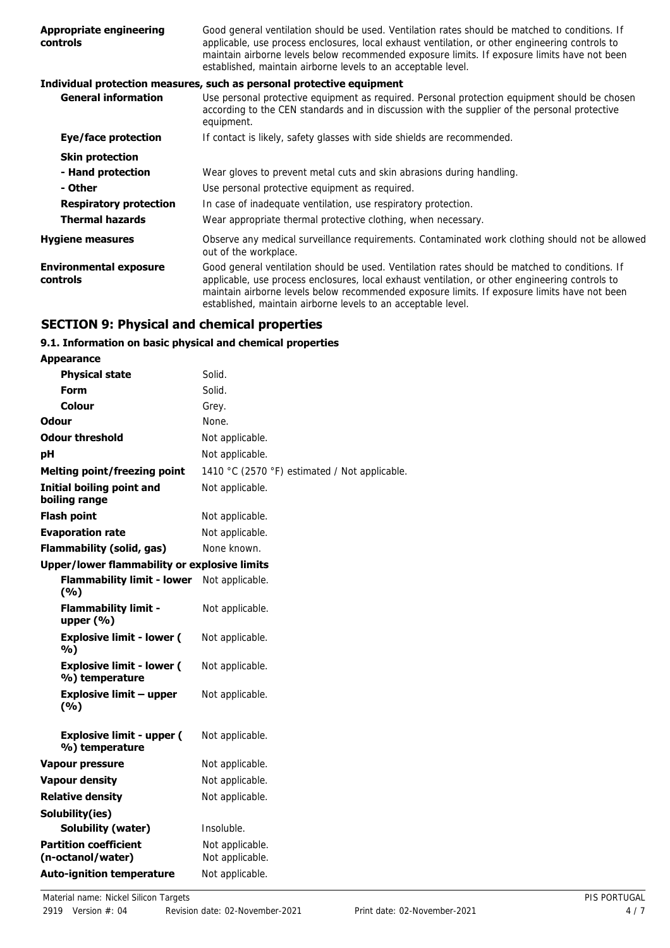| <b>Appropriate engineering</b><br><b>controls</b> | Good general ventilation should be used. Ventilation rates should be matched to conditions. If<br>applicable, use process enclosures, local exhaust ventilation, or other engineering controls to<br>maintain airborne levels below recommended exposure limits. If exposure limits have not been<br>established, maintain airborne levels to an acceptable level. |
|---------------------------------------------------|--------------------------------------------------------------------------------------------------------------------------------------------------------------------------------------------------------------------------------------------------------------------------------------------------------------------------------------------------------------------|
|                                                   | Individual protection measures, such as personal protective equipment                                                                                                                                                                                                                                                                                              |
| <b>General information</b>                        | Use personal protective equipment as required. Personal protection equipment should be chosen<br>according to the CEN standards and in discussion with the supplier of the personal protective<br>equipment.                                                                                                                                                       |
| Eye/face protection                               | If contact is likely, safety glasses with side shields are recommended.                                                                                                                                                                                                                                                                                            |
| <b>Skin protection</b>                            |                                                                                                                                                                                                                                                                                                                                                                    |
| - Hand protection                                 | Wear gloves to prevent metal cuts and skin abrasions during handling.                                                                                                                                                                                                                                                                                              |
| - Other                                           | Use personal protective equipment as required.                                                                                                                                                                                                                                                                                                                     |
| <b>Respiratory protection</b>                     | In case of inadequate ventilation, use respiratory protection.                                                                                                                                                                                                                                                                                                     |
| <b>Thermal hazards</b>                            | Wear appropriate thermal protective clothing, when necessary.                                                                                                                                                                                                                                                                                                      |
| <b>Hygiene measures</b>                           | Observe any medical surveillance requirements. Contaminated work clothing should not be allowed<br>out of the workplace.                                                                                                                                                                                                                                           |
| <b>Environmental exposure</b><br><b>controls</b>  | Good general ventilation should be used. Ventilation rates should be matched to conditions. If<br>applicable, use process enclosures, local exhaust ventilation, or other engineering controls to<br>maintain airborne levels below recommended exposure limits. If exposure limits have not been<br>established, maintain airborne levels to an acceptable level. |

# **SECTION 9: Physical and chemical properties**

# **9.1. Information on basic physical and chemical properties**

| <b>Appearance</b>                                   |                                               |
|-----------------------------------------------------|-----------------------------------------------|
| <b>Physical state</b>                               | Solid.                                        |
| Form                                                | Solid.                                        |
| Colour                                              | Grey.                                         |
| Odour                                               | None.                                         |
| <b>Odour threshold</b>                              | Not applicable.                               |
| pH                                                  | Not applicable.                               |
| <b>Melting point/freezing point</b>                 | 1410 °C (2570 °F) estimated / Not applicable. |
| <b>Initial boiling point and</b><br>boiling range   | Not applicable.                               |
| <b>Flash point</b>                                  | Not applicable.                               |
| <b>Evaporation rate</b>                             | Not applicable.                               |
| <b>Flammability (solid, gas)</b>                    | None known.                                   |
| <b>Upper/lower flammability or explosive limits</b> |                                               |
| <b>Flammability limit - lower</b><br>(9/6)          | Not applicable.                               |
| <b>Flammability limit -</b><br>upper $(\% )$        | Not applicable.                               |
| <b>Explosive limit - lower (</b><br>%)              | Not applicable.                               |
| <b>Explosive limit - lower (</b><br>%) temperature  | Not applicable.                               |
| <b>Explosive limit - upper</b><br>(9/6)             | Not applicable.                               |
| <b>Explosive limit - upper (</b><br>%) temperature  | Not applicable.                               |
| <b>Vapour pressure</b>                              | Not applicable.                               |
| <b>Vapour density</b>                               | Not applicable.                               |
| <b>Relative density</b>                             | Not applicable.                               |
| Solubility(ies)                                     |                                               |
| Solubility (water)                                  | Insoluble.                                    |
| <b>Partition coefficient</b><br>(n-octanol/water)   | Not applicable.<br>Not applicable.            |
| <b>Auto-ignition temperature</b>                    | Not applicable.                               |
|                                                     |                                               |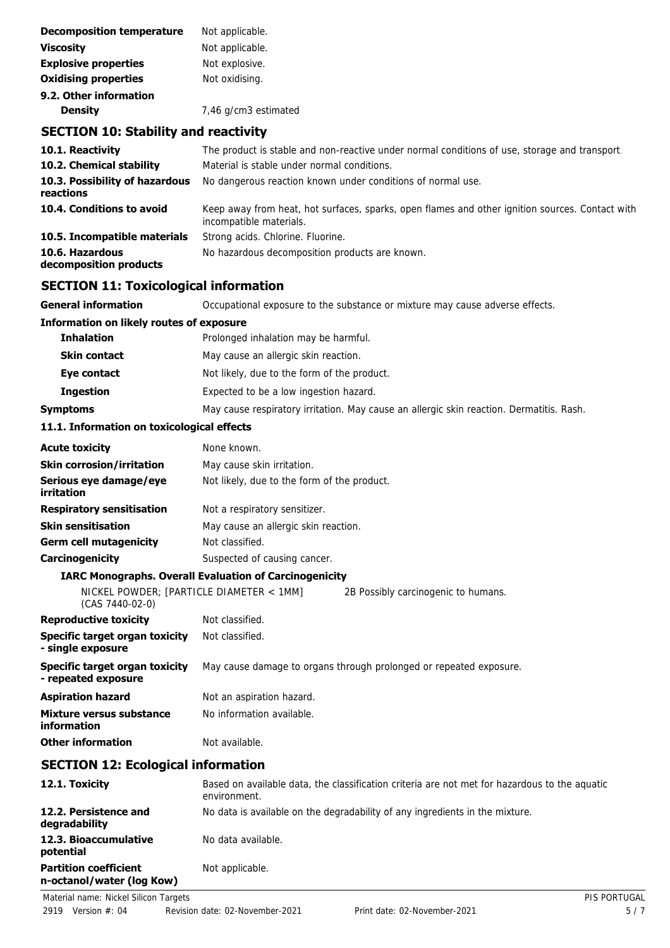| <b>Decomposition temperature</b> | Not applicable.      |
|----------------------------------|----------------------|
| <b>Viscosity</b>                 | Not applicable.      |
| <b>Explosive properties</b>      | Not explosive.       |
| <b>Oxidising properties</b>      | Not oxidising.       |
| 9.2. Other information           |                      |
| <b>Density</b>                   | 7,46 g/cm3 estimated |

# **SECTION 10: Stability and reactivity**

| 10.1. Reactivity                            | The product is stable and non-reactive under normal conditions of use, storage and transport.                              |
|---------------------------------------------|----------------------------------------------------------------------------------------------------------------------------|
| 10.2. Chemical stability                    | Material is stable under normal conditions.                                                                                |
| 10.3. Possibility of hazardous<br>reactions | No dangerous reaction known under conditions of normal use.                                                                |
| 10.4. Conditions to avoid                   | Keep away from heat, hot surfaces, sparks, open flames and other ignition sources. Contact with<br>incompatible materials. |
| 10.5. Incompatible materials                | Strong acids. Chlorine. Fluorine.                                                                                          |
| 10.6. Hazardous<br>decomposition products   | No hazardous decomposition products are known.                                                                             |

# **SECTION 11: Toxicological information**

| <b>General information</b>                                  | Occupational exposure to the substance or mixture may cause adverse effects.                   |
|-------------------------------------------------------------|------------------------------------------------------------------------------------------------|
| <b>Information on likely routes of exposure</b>             |                                                                                                |
| <b>Inhalation</b>                                           | Prolonged inhalation may be harmful.                                                           |
| <b>Skin contact</b>                                         | May cause an allergic skin reaction.                                                           |
| Eye contact                                                 | Not likely, due to the form of the product.                                                    |
| <b>Ingestion</b>                                            | Expected to be a low ingestion hazard.                                                         |
| Symptoms                                                    | May cause respiratory irritation. May cause an allergic skin reaction. Dermatitis. Rash.       |
| 11.1. Information on toxicological effects                  |                                                                                                |
| <b>Acute toxicity</b>                                       | None known.                                                                                    |
| Skin corrosion/irritation                                   | May cause skin irritation.                                                                     |
| Serious eye damage/eye<br>irritation                        | Not likely, due to the form of the product.                                                    |
| <b>Respiratory sensitisation</b>                            | Not a respiratory sensitizer.                                                                  |
| <b>Skin sensitisation</b>                                   | May cause an allergic skin reaction.                                                           |
| Germ cell mutagenicity                                      | Not classified.                                                                                |
| <b>Carcinogenicity</b>                                      | Suspected of causing cancer.                                                                   |
|                                                             | <b>IARC Monographs. Overall Evaluation of Carcinogenicity</b>                                  |
| NICKEL POWDER; [PARTICLE DIAMETER < 1MM]<br>(CAS 7440-02-0) | 2B Possibly carcinogenic to humans.                                                            |
| <b>Reproductive toxicity</b>                                | Not classified.                                                                                |
| Specific target organ toxicity<br>- single exposure         | Not classified.                                                                                |
| Specific target organ toxicity<br>- repeated exposure       | May cause damage to organs through prolonged or repeated exposure.                             |
| <b>Aspiration hazard</b>                                    | Not an aspiration hazard.                                                                      |
| Mixture versus substance<br>information                     | No information available.                                                                      |
| <b>Other information</b>                                    | Not available.                                                                                 |
| <b>SECTION 12: Ecological information</b>                   |                                                                                                |
| 12.1. Toxicity                                              | Based on available data, the classification criteria are not met for hazardous to the aquation |

| 12.1. Toxicity                                            | Based on available data, the classification criteria are not met for hazardous to the aquatic<br>environment. |
|-----------------------------------------------------------|---------------------------------------------------------------------------------------------------------------|
| 12.2. Persistence and<br>degradability                    | No data is available on the degradability of any ingredients in the mixture.                                  |
| 12.3. Bioaccumulative<br>potential                        | No data available.                                                                                            |
| <b>Partition coefficient</b><br>n-octanol/water (log Kow) | Not applicable.                                                                                               |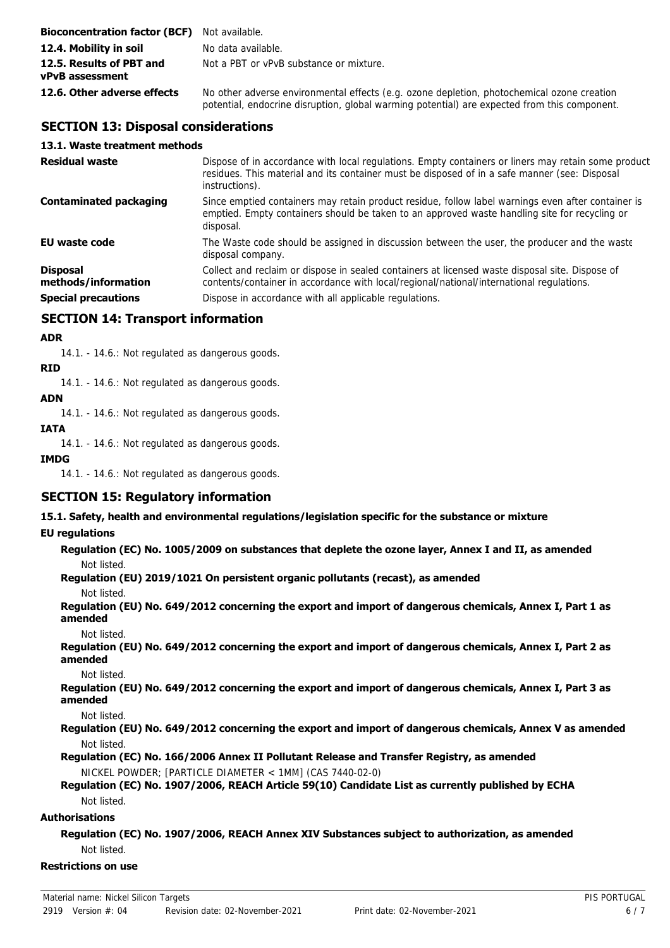| <b>Bioconcentration factor (BCF)</b> Not available. |                                                                                                                                                                                            |
|-----------------------------------------------------|--------------------------------------------------------------------------------------------------------------------------------------------------------------------------------------------|
| 12.4. Mobility in soil                              | No data available.                                                                                                                                                                         |
| 12.5. Results of PBT and<br>vPvB assessment         | Not a PBT or vPvB substance or mixture.                                                                                                                                                    |
| 12.6. Other adverse effects                         | No other adverse environmental effects (e.g. ozone depletion, photochemical ozone creation<br>potential, endocrine disruption, global warming potential) are expected from this component. |

# **SECTION 13: Disposal considerations**

## **13.1. Waste treatment methods**

| <b>Residual waste</b>                  | Dispose of in accordance with local regulations. Empty containers or liners may retain some product<br>residues. This material and its container must be disposed of in a safe manner (see: Disposal<br>instructions). |
|----------------------------------------|------------------------------------------------------------------------------------------------------------------------------------------------------------------------------------------------------------------------|
| <b>Contaminated packaging</b>          | Since emptied containers may retain product residue, follow label warnings even after container is<br>emptied. Empty containers should be taken to an approved waste handling site for recycling or<br>disposal.       |
| <b>EU waste code</b>                   | The Waste code should be assigned in discussion between the user, the producer and the waste<br>disposal company.                                                                                                      |
| <b>Disposal</b><br>methods/information | Collect and reclaim or dispose in sealed containers at licensed waste disposal site. Dispose of<br>contents/container in accordance with local/regional/national/international regulations.                            |
| <b>Special precautions</b>             | Dispose in accordance with all applicable regulations.                                                                                                                                                                 |

# **SECTION 14: Transport information**

## **ADR**

14.1. - 14.6.: Not regulated as dangerous goods.

## **RID**

14.1. - 14.6.: Not regulated as dangerous goods.

## **ADN**

14.1. - 14.6.: Not regulated as dangerous goods.

# **IATA**

14.1. - 14.6.: Not regulated as dangerous goods.

#### **IMDG**

14.1. - 14.6.: Not regulated as dangerous goods.

# **SECTION 15: Regulatory information**

**15.1. Safety, health and environmental regulations/legislation specific for the substance or mixture**

## **EU regulations**

# **Regulation (EC) No. 1005/2009 on substances that deplete the ozone layer, Annex I and II, as amended**

Not listed.

**Regulation (EU) 2019/1021 On persistent organic pollutants (recast), as amended**

Not listed.

**Regulation (EU) No. 649/2012 concerning the export and import of dangerous chemicals, Annex I, Part 1 as amended**

Not listed.

**Regulation (EU) No. 649/2012 concerning the export and import of dangerous chemicals, Annex I, Part 2 as amended**

Not listed.

**Regulation (EU) No. 649/2012 concerning the export and import of dangerous chemicals, Annex I, Part 3 as amended**

Not listed.

**Regulation (EU) No. 649/2012 concerning the export and import of dangerous chemicals, Annex V as amended** Not listed.

**Regulation (EC) No. 166/2006 Annex II Pollutant Release and Transfer Registry, as amended** NICKEL POWDER; [PARTICLE DIAMETER < 1MM] (CAS 7440-02-0)

## **Regulation (EC) No. 1907/2006, REACH Article 59(10) Candidate List as currently published by ECHA** Not listed.

## **Authorisations**

**Regulation (EC) No. 1907/2006, REACH Annex XIV Substances subject to authorization, as amended** Not listed.

**Restrictions on use**